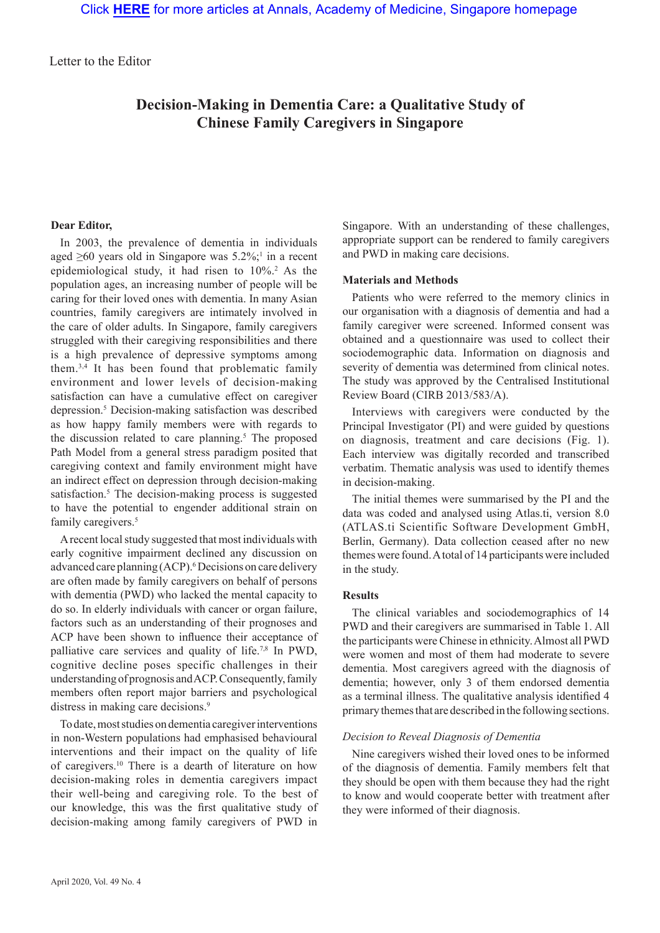Letter to the Editor

# **Decision-Making in Dementia Care: a Qualitative Study of Chinese Family Caregivers in Singapore**

# **Dear Editor,**

In 2003, the prevalence of dementia in individuals aged  $\geq 60$  years old in Singapore was 5.2%;<sup>1</sup> in a recent epidemiological study, it had risen to  $10\%$ <sup>2</sup> As the population ages, an increasing number of people will be caring for their loved ones with dementia. In many Asian countries, family caregivers are intimately involved in the care of older adults. In Singapore, family caregivers struggled with their caregiving responsibilities and there is a high prevalence of depressive symptoms among them.3,4 It has been found that problematic family environment and lower levels of decision-making satisfaction can have a cumulative effect on caregiver depression.5 Decision-making satisfaction was described as how happy family members were with regards to the discussion related to care planning.<sup>5</sup> The proposed Path Model from a general stress paradigm posited that caregiving context and family environment might have an indirect effect on depression through decision-making satisfaction.<sup>5</sup> The decision-making process is suggested to have the potential to engender additional strain on family caregivers.<sup>5</sup>

A recent local study suggested that most individuals with early cognitive impairment declined any discussion on advanced care planning (ACP).<sup>6</sup> Decisions on care delivery are often made by family caregivers on behalf of persons with dementia (PWD) who lacked the mental capacity to do so. In elderly individuals with cancer or organ failure, factors such as an understanding of their prognoses and ACP have been shown to influence their acceptance of palliative care services and quality of life.7,8 In PWD, cognitive decline poses specific challenges in their understanding of prognosis and ACP. Consequently, family members often report major barriers and psychological distress in making care decisions.<sup>9</sup>

To date, most studies on dementia caregiver interventions in non-Western populations had emphasised behavioural interventions and their impact on the quality of life of caregivers.<sup>10</sup> There is a dearth of literature on how decision-making roles in dementia caregivers impact their well-being and caregiving role. To the best of our knowledge, this was the first qualitative study of decision-making among family caregivers of PWD in

Singapore. With an understanding of these challenges, appropriate support can be rendered to family caregivers and PWD in making care decisions.

## **Materials and Methods**

Patients who were referred to the memory clinics in our organisation with a diagnosis of dementia and had a family caregiver were screened. Informed consent was obtained and a questionnaire was used to collect their sociodemographic data. Information on diagnosis and severity of dementia was determined from clinical notes. The study was approved by the Centralised Institutional Review Board (CIRB 2013/583/A).

Interviews with caregivers were conducted by the Principal Investigator (PI) and were guided by questions on diagnosis, treatment and care decisions (Fig. 1). Each interview was digitally recorded and transcribed verbatim. Thematic analysis was used to identify themes in decision-making.

The initial themes were summarised by the PI and the data was coded and analysed using Atlas.ti, version 8.0 (ATLAS.ti Scientific Software Development GmbH, Berlin, Germany). Data collection ceased after no new themes were found. A total of 14 participants were included in the study.

# **Results**

The clinical variables and sociodemographics of 14 PWD and their caregivers are summarised in Table 1. All the participants were Chinese in ethnicity. Almost all PWD were women and most of them had moderate to severe dementia. Most caregivers agreed with the diagnosis of dementia; however, only 3 of them endorsed dementia as a terminal illness. The qualitative analysis identified 4 primary themes that are described in the following sections.

## *Decision to Reveal Diagnosis of Dementia*

Nine caregivers wished their loved ones to be informed of the diagnosis of dementia. Family members felt that they should be open with them because they had the right to know and would cooperate better with treatment after they were informed of their diagnosis.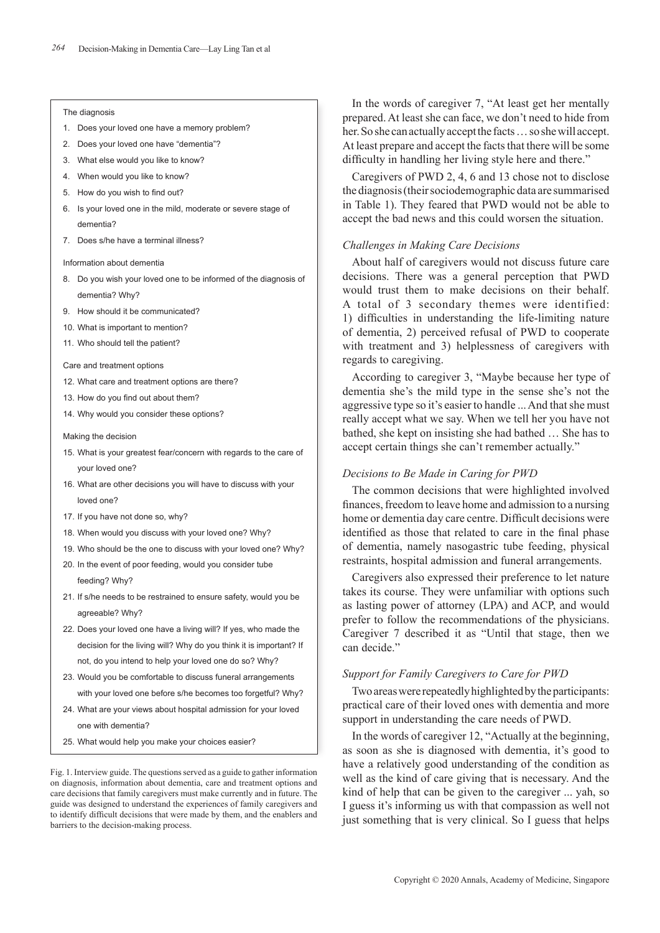#### The diagnosis

- 1. Does your loved one have a memory problem?
- 2. Does your loved one have "dementia"?
- 3. What else would you like to know?
- 4. When would you like to know?
- 5. How do you wish to find out?
- 6. Is your loved one in the mild, moderate or severe stage of dementia?
- 7. Does s/he have a terminal illness?

#### Information about dementia

- 8. Do you wish your loved one to be informed of the diagnosis of dementia? Why?
- 9. How should it be communicated?
- 10. What is important to mention?
- 11. Who should tell the patient?

Care and treatment options

- 12. What care and treatment options are there?
- 13. How do you find out about them?
- 14. Why would you consider these options?

Making the decision

- 15. What is your greatest fear/concern with regards to the care of your loved one?
- 16. What are other decisions you will have to discuss with your loved one?
- 17. If you have not done so, why?
- 18. When would you discuss with your loved one? Why?
- 19. Who should be the one to discuss with your loved one? Why?
- 20. In the event of poor feeding, would you consider tube feeding? Why?
- 21. If s/he needs to be restrained to ensure safety, would you be agreeable? Why?
- 22. Does your loved one have a living will? If yes, who made the decision for the living will? Why do you think it is important? If not, do you intend to help your loved one do so? Why?
- 23. Would you be comfortable to discuss funeral arrangements with your loved one before s/he becomes too forgetful? Why?
- 24. What are your views about hospital admission for your loved one with dementia?
- 25. What would help you make your choices easier?

Fig. 1. Interview guide. The questions served as a guide to gather information on diagnosis, information about dementia, care and treatment options and care decisions that family caregivers must make currently and in future. The guide was designed to understand the experiences of family caregivers and to identify difficult decisions that were made by them, and the enablers and barriers to the decision-making process.

In the words of caregiver 7, "At least get her mentally prepared. At least she can face, we don't need to hide from her. So she can actually accept the facts … so she will accept. At least prepare and accept the facts that there will be some difficulty in handling her living style here and there."

Caregivers of PWD 2, 4, 6 and 13 chose not to disclose the diagnosis (their sociodemographic data are summarised in Table 1). They feared that PWD would not be able to accept the bad news and this could worsen the situation.

#### *Challenges in Making Care Decisions*

About half of caregivers would not discuss future care decisions. There was a general perception that PWD would trust them to make decisions on their behalf. A total of 3 secondary themes were identified: 1) difficulties in understanding the life-limiting nature of dementia, 2) perceived refusal of PWD to cooperate with treatment and 3) helplessness of caregivers with regards to caregiving.

According to caregiver 3, "Maybe because her type of dementia she's the mild type in the sense she's not the aggressive type so it's easier to handle ... And that she must really accept what we say. When we tell her you have not bathed, she kept on insisting she had bathed … She has to accept certain things she can't remember actually."

#### *Decisions to Be Made in Caring for PWD*

The common decisions that were highlighted involved finances, freedom to leave home and admission to a nursing home or dementia day care centre. Difficult decisions were identified as those that related to care in the final phase of dementia, namely nasogastric tube feeding, physical restraints, hospital admission and funeral arrangements.

Caregivers also expressed their preference to let nature takes its course. They were unfamiliar with options such as lasting power of attorney (LPA) and ACP, and would prefer to follow the recommendations of the physicians. Caregiver 7 described it as "Until that stage, then we can decide."

## *Support for Family Caregivers to Care for PWD*

Two areas were repeatedly highlighted by the participants: practical care of their loved ones with dementia and more support in understanding the care needs of PWD.

In the words of caregiver 12, "Actually at the beginning, as soon as she is diagnosed with dementia, it's good to have a relatively good understanding of the condition as well as the kind of care giving that is necessary. And the kind of help that can be given to the caregiver ... yah, so I guess it's informing us with that compassion as well not just something that is very clinical. So I guess that helps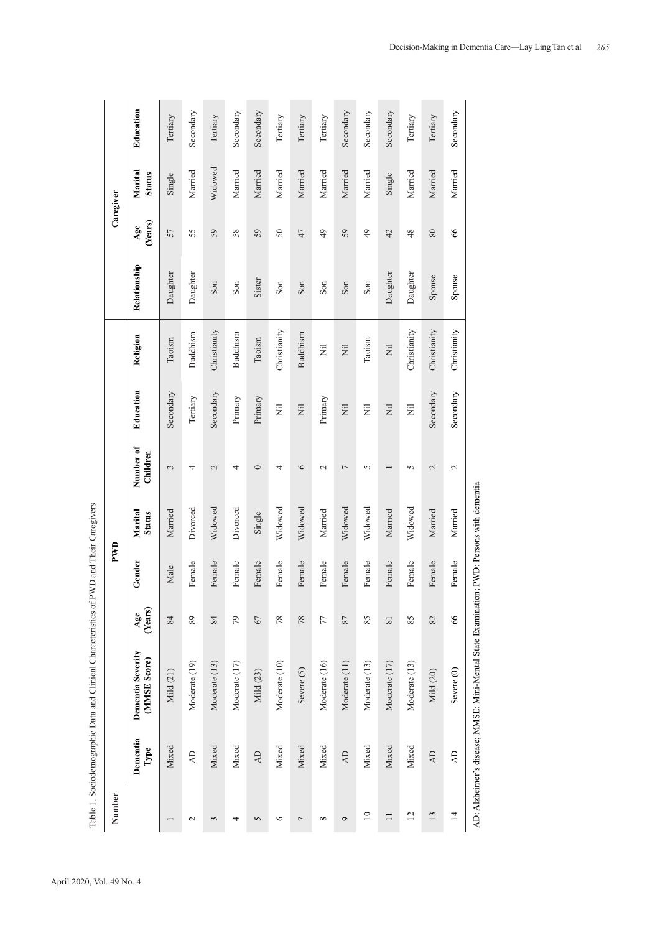|                 |                  | Table 1. Sociodemographic Data and Clinical Characteristics of PWD and Their Caregivers  |                |        |                          |                       |           |                 |              |                 |                          |           |
|-----------------|------------------|------------------------------------------------------------------------------------------|----------------|--------|--------------------------|-----------------------|-----------|-----------------|--------------|-----------------|--------------------------|-----------|
| Number          |                  |                                                                                          |                | PWD    |                          |                       |           |                 |              |                 | Caregiver                |           |
|                 | Dementia<br>Type | Dementia Severity<br>(MMSE Score)                                                        | (Years)<br>Age | Gender | Marital<br><b>Status</b> | Number of<br>Children | Education | Religion        | Relationship | (Years)<br>Age  | Marital<br><b>Status</b> | Education |
|                 | Mixed            | Mild (21)                                                                                | 84             | Male   | Married                  | 3                     | Secondary | Taoism          | Daughter     | 57              | Single                   | Tertiary  |
| $\mathbf{\sim}$ | $\overline{4}$   | Moderate (19)                                                                            | 89             | Female | Divorced                 | 4                     | Tertiary  | <b>Buddhism</b> | Daughter     | 55              | Married                  | Secondary |
| 3               | Mixed            | Moderate (13)                                                                            | 84             | Female | Widowed                  | $\sim$                | Secondary | Christianity    | Son          | 59              | Widowed                  | Tertiary  |
| 4               | Mixed            | Moderate (17)                                                                            | 79             | Female | Divorced                 | 4                     | Primary   | Buddhism        | Son          | 58              | Married                  | Secondary |
| 5               | $\overline{AD}$  | Mild (23)                                                                                | 67             | Female | Single                   | $\circ$               | Primary   | Taoism          | Sister       | 59              | Married                  | Secondary |
| $\circ$         | Mixed            | Moderate (10)                                                                            | 78             | Female | Widowed                  | 4                     | Ξ         | Christianity    | Son          | $50\,$          | Married                  | Tertiary  |
| $\overline{ }$  | Mixed            | Severe (5)                                                                               | 78             | Female | Widowed                  | $\circ$               | Ξ         | Buddhism        | Son          | 47              | Married                  | Tertiary  |
| ${}^{\circ}$    | Mixed            | Moderate (16)                                                                            | 77             | Female | Married                  | $\mathcal{L}$         | Primary   | Ż               | Son          | $\overline{49}$ | Married                  | Tertiary  |
| $\sigma$        | <b>AD</b>        | Moderate (11)                                                                            | 87             | Female | Widowed                  | 7                     | Ξ         | $\overline{z}$  | Son          | 59              | Married                  | Secondary |
| $\supseteq$     | Mixed            | Moderate (13)                                                                            | 85             | Female | Widowed                  | 5                     | Ξ         | Taoism          | Son          | $\overline{49}$ | Married                  | Secondary |
| $\Box$          | Mixed            | Moderate (17)                                                                            | 81             | Female | Married                  |                       | Ē         | Ë               | Daughter     | 42              | Single                   | Secondary |
| $\overline{c}$  | Mixed            | Moderate (13)                                                                            | 85             | Female | Widowed                  | 5                     | Ē         | Christianity    | Daughter     | 48              | Married                  | Tertiary  |
| 13              | $\overline{AD}$  | Mild (20)                                                                                | 82             | Female | Married                  | $\mathcal{L}$         | Secondary | Christianity    | Spouse       | 80              | Married                  | Tertiary  |
| $\overline{1}$  | $\overline{A}$   | Severe (0)                                                                               | 66             | Female | Married                  | $\sim$                | Secondary | Christianity    | Spouse       | $\infty$        | Married                  | Secondary |
|                 |                  | AD: Alzheimer's disease; MMSE: Mini-Mental State Examination; PWD: Persons with dementia |                |        |                          |                       |           |                 |              |                 |                          |           |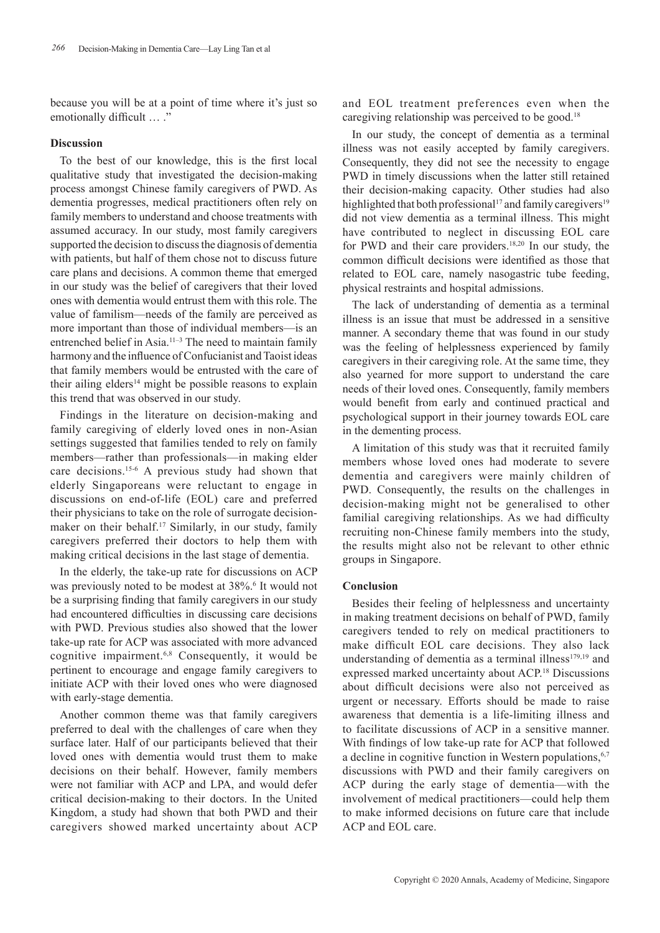because you will be at a point of time where it's just so emotionally difficult ... ."

# **Discussion**

To the best of our knowledge, this is the first local qualitative study that investigated the decision-making process amongst Chinese family caregivers of PWD. As dementia progresses, medical practitioners often rely on family members to understand and choose treatments with assumed accuracy. In our study, most family caregivers supported the decision to discuss the diagnosis of dementia with patients, but half of them chose not to discuss future care plans and decisions. A common theme that emerged in our study was the belief of caregivers that their loved ones with dementia would entrust them with this role. The value of familism—needs of the family are perceived as more important than those of individual members—is an entrenched belief in Asia.<sup>11-3</sup> The need to maintain family harmony and the influence of Confucianist and Taoist ideas that family members would be entrusted with the care of their ailing elders<sup>14</sup> might be possible reasons to explain this trend that was observed in our study.

Findings in the literature on decision-making and family caregiving of elderly loved ones in non-Asian settings suggested that families tended to rely on family members—rather than professionals—in making elder care decisions.15-6 A previous study had shown that elderly Singaporeans were reluctant to engage in discussions on end-of-life (EOL) care and preferred their physicians to take on the role of surrogate decisionmaker on their behalf.<sup>17</sup> Similarly, in our study, family caregivers preferred their doctors to help them with making critical decisions in the last stage of dementia.

In the elderly, the take-up rate for discussions on ACP was previously noted to be modest at 38%.<sup>6</sup> It would not be a surprising finding that family caregivers in our study had encountered difficulties in discussing care decisions with PWD. Previous studies also showed that the lower take-up rate for ACP was associated with more advanced cognitive impairment.6,8 Consequently, it would be pertinent to encourage and engage family caregivers to initiate ACP with their loved ones who were diagnosed with early-stage dementia.

Another common theme was that family caregivers preferred to deal with the challenges of care when they surface later. Half of our participants believed that their loved ones with dementia would trust them to make decisions on their behalf. However, family members were not familiar with ACP and LPA, and would defer critical decision-making to their doctors. In the United Kingdom, a study had shown that both PWD and their caregivers showed marked uncertainty about ACP and EOL treatment preferences even when the caregiving relationship was perceived to be good.<sup>18</sup>

In our study, the concept of dementia as a terminal illness was not easily accepted by family caregivers. Consequently, they did not see the necessity to engage PWD in timely discussions when the latter still retained their decision-making capacity. Other studies had also highlighted that both professional<sup>17</sup> and family caregivers<sup>19</sup> did not view dementia as a terminal illness. This might have contributed to neglect in discussing EOL care for PWD and their care providers.<sup>18,20</sup> In our study, the common difficult decisions were identified as those that related to EOL care, namely nasogastric tube feeding, physical restraints and hospital admissions.

The lack of understanding of dementia as a terminal illness is an issue that must be addressed in a sensitive manner. A secondary theme that was found in our study was the feeling of helplessness experienced by family caregivers in their caregiving role. At the same time, they also yearned for more support to understand the care needs of their loved ones. Consequently, family members would benefit from early and continued practical and psychological support in their journey towards EOL care in the dementing process.

A limitation of this study was that it recruited family members whose loved ones had moderate to severe dementia and caregivers were mainly children of PWD. Consequently, the results on the challenges in decision-making might not be generalised to other familial caregiving relationships. As we had difficulty recruiting non-Chinese family members into the study, the results might also not be relevant to other ethnic groups in Singapore.

## **Conclusion**

Besides their feeling of helplessness and uncertainty in making treatment decisions on behalf of PWD, family caregivers tended to rely on medical practitioners to make difficult EOL care decisions. They also lack understanding of dementia as a terminal illness<sup>179,19</sup> and expressed marked uncertainty about ACP.18 Discussions about difficult decisions were also not perceived as urgent or necessary. Efforts should be made to raise awareness that dementia is a life-limiting illness and to facilitate discussions of ACP in a sensitive manner. With findings of low take-up rate for ACP that followed a decline in cognitive function in Western populations,<sup>6,7</sup> discussions with PWD and their family caregivers on ACP during the early stage of dementia—with the involvement of medical practitioners—could help them to make informed decisions on future care that include ACP and EOL care.